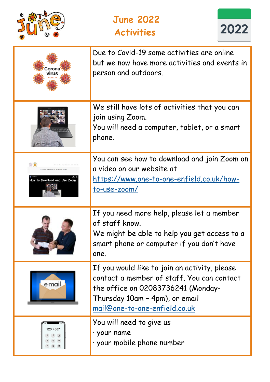

## **June 2022 Activities**



| :orona                                                     | Due to Covid-19 some activities are online<br>but we now have more activities and events in<br>person and outdoors.                                                                                         |
|------------------------------------------------------------|-------------------------------------------------------------------------------------------------------------------------------------------------------------------------------------------------------------|
|                                                            | We still have lots of activities that you can<br>join using Zoom.<br>You will need a computer, tablet, or a smart<br>phone.                                                                                 |
| OW TO DOWNLOAD AND USE ZOO<br>How to Download and Use Zoom | You can see how to download and join Zoom on<br>a video on our website at<br><u> https://www.one-to-one-enfield.co.uk/how-</u><br>to-use-zoom/                                                              |
|                                                            | If you need more help, please let a member<br>of staff know.<br>We might be able to help you get access to a<br>smart phone or computer if you don't have<br>one.                                           |
| e <sub>mail</sub>                                          | If you would like to join an activity, please<br>contact a member of staff. You can contact<br>the office on 02083736241 (Monday-<br>Thursday 10am - 4pm), or email<br><u>mail@one-to-one-enfield.co.uk</u> |
|                                                            | You will need to give us<br>· your name<br>· your mobile phone number                                                                                                                                       |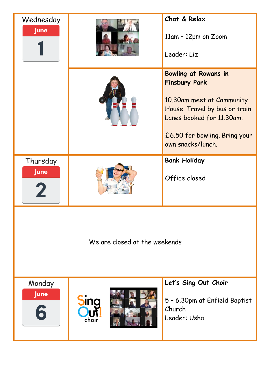| Wednesday<br><b>June</b>      |                | Chat & Relax<br>11am - 12pm on Zoom<br>Leader: Liz                                                                                                                                                    |
|-------------------------------|----------------|-------------------------------------------------------------------------------------------------------------------------------------------------------------------------------------------------------|
|                               |                | <b>Bowling at Rowans in</b><br><b>Finsbury Park</b><br>10.30am meet at Community<br>House. Travel by bus or train.<br>Lanes booked for 11.30am.<br>£6.50 for bowling. Bring your<br>own snacks/lunch. |
| Thursday<br><b>June</b>       |                | <b>Bank Holiday</b><br>Office closed                                                                                                                                                                  |
| We are closed at the weekends |                |                                                                                                                                                                                                       |
| Monday<br><b>June</b><br>6    | pling<br>choir | Let's Sing Out Choir<br>5 - 6.30pm at Enfield Baptist<br>Church<br>Leader: Usha                                                                                                                       |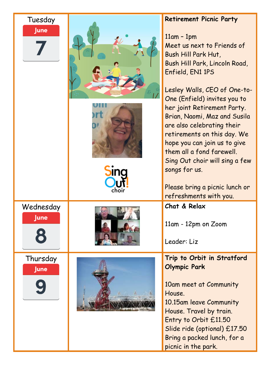| Tuesday<br><b>June</b>  | <b>DING</b> | <b>Retirement Picnic Party</b><br>$11am - 1pm$<br>Meet us next to Friends of<br>Bush Hill Park Hut,<br>Bush Hill Park, Lincoln Road,<br>Enfield, EN1 1PS<br>Lesley Walls, CEO of One-to-<br>One (Enfield) invites you to<br>her joint Retirement Party.<br>Brian, Naomi, Maz and Susila<br>are also celebrating their<br>retirements on this day. We<br>hope you can join us to give<br>them all a fond farewell.<br>Sing Out choir will sing a few<br>songs for us.<br>Please bring a picnic lunch or<br>refreshments with you. |
|-------------------------|-------------|----------------------------------------------------------------------------------------------------------------------------------------------------------------------------------------------------------------------------------------------------------------------------------------------------------------------------------------------------------------------------------------------------------------------------------------------------------------------------------------------------------------------------------|
| Wednesday<br>June       |             | Chat & Relax<br>11am - 12pm on Zoom<br>Leader: Liz                                                                                                                                                                                                                                                                                                                                                                                                                                                                               |
| Thursday<br><b>June</b> |             | Trip to Orbit in Stratford<br><b>Olympic Park</b><br>10am meet at Community<br>House.<br>10.15am leave Community<br>House. Travel by train.<br>Entry to Orbit £11.50<br>Slide ride (optional) £17.50<br>Bring a packed lunch, for a<br>picnic in the park.                                                                                                                                                                                                                                                                       |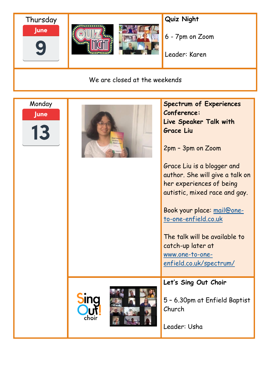

We are closed at the weekends

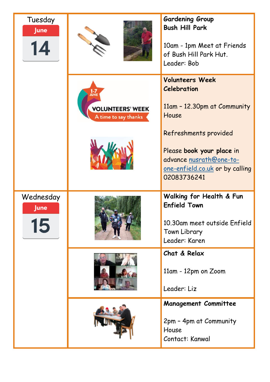| Tuesday<br><b>June</b>         |                                                               | <b>Gardening Group</b><br><b>Bush Hill Park</b><br>10am - 1pm Meet at Friends<br>of Bush Hill Park Hut.<br>Leader: Bob                 |
|--------------------------------|---------------------------------------------------------------|----------------------------------------------------------------------------------------------------------------------------------------|
|                                | <b>IUN</b><br><b>VOLUNTEERS' WEEK</b><br>A time to say thanks | <b>Volunteers Week</b><br><b>Celebration</b><br>11am - 12.30pm at Community<br>House                                                   |
|                                |                                                               | Refreshments provided<br>Please book your place in<br>advance nusrath@one-to-<br><u>one-enfield.co.uk</u> or by calling<br>02083736241 |
| Wednesday<br><b>June</b><br>15 |                                                               | Walking for Health & Fun<br><b>Enfield Town</b><br>10.30am meet outside Enfield<br>Town Library<br>Leader: Karen                       |
|                                |                                                               | Chat & Relax<br>11am - 12pm on Zoom<br>Leader: Liz                                                                                     |
|                                |                                                               | <b>Management Committee</b><br>2pm - 4pm at Community<br>House<br>Contact: Kanwal                                                      |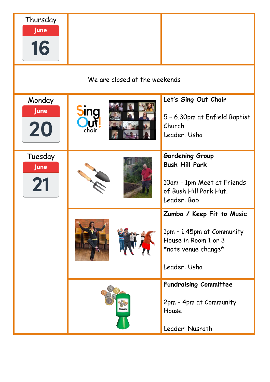| Thursday<br><b>June</b><br>16 |              |                                                                                                                        |
|-------------------------------|--------------|------------------------------------------------------------------------------------------------------------------------|
| We are closed at the weekends |              |                                                                                                                        |
| Monday<br><b>June</b><br>20   | pui<br>choir | Let's Sing Out Choir<br>5 - 6.30pm at Enfield Baptist<br>Church<br>Leader: Usha                                        |
| Tuesday<br><b>June</b><br>21  | <b>SALL</b>  | <b>Gardening Group</b><br><b>Bush Hill Park</b><br>10am - 1pm Meet at Friends<br>of Bush Hill Park Hut.<br>Leader: Bob |
|                               |              | Zumba / Keep Fit to Music<br>1pm - 1.45pm at Community<br>House in Room 1 or 3<br>*note venue change*<br>Leader: Usha  |
|                               | Charity      | <b>Fundraising Committee</b><br>2pm - 4pm at Community<br>House<br>Leader: Nusrath                                     |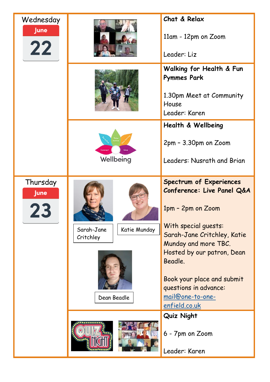| Wednesday<br><b>June</b><br>22 |                                                        | Chat & Relax<br>11am - 12pm on Zoom<br>Leader: Liz                                                                                                                                                                                                                                                                                                      |
|--------------------------------|--------------------------------------------------------|---------------------------------------------------------------------------------------------------------------------------------------------------------------------------------------------------------------------------------------------------------------------------------------------------------------------------------------------------------|
|                                |                                                        | Walking for Health & Fun<br><b>Pymmes Park</b><br>1.30pm Meet at Community<br>House<br>Leader: Karen                                                                                                                                                                                                                                                    |
|                                | Connec<br>Wellbeing                                    | Health & Wellbeing<br>2pm - 3.30pm on Zoom<br>Leaders: Nusrath and Brian                                                                                                                                                                                                                                                                                |
| Thursday<br><b>June</b>        | Katie Munday<br>Sarah-Jane<br>Critchley<br>Dean Beadle | <b>Spectrum of Experiences</b><br>Conference: Live Panel Q&A<br>1pm - 2pm on Zoom<br>With special guests:<br>Sarah-Jane Critchley, Katie<br>Munday and more TBC.<br>Hosted by our patron, Dean<br>Beadle.<br>Book your place and submit<br>questions in advance:<br>mail@one-to-one-<br>enfield.co.uk<br>Quiz Night<br>6 - 7pm on Zoom<br>Leader: Karen |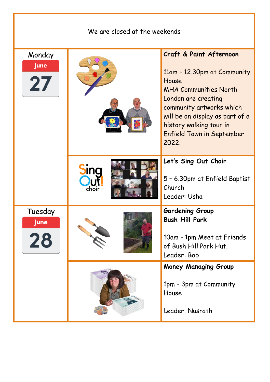| We are closed at the weekends |                      |                                                                                                                                                                                                                                                                          |
|-------------------------------|----------------------|--------------------------------------------------------------------------------------------------------------------------------------------------------------------------------------------------------------------------------------------------------------------------|
| Monday<br>June<br>27          |                      | <b>Craft &amp; Paint Afternoon</b><br>11am - 12.30pm at Community<br>House<br><b>MHA Communities North</b><br>London are creating<br>community artworks which<br>will be on display as part of a<br>history walking tour in<br><b>Enfield Town in September</b><br>2022. |
|                               | <b>SING</b><br>choir | Let's Sing Out Choir<br>5 - 6.30pm at Enfield Baptist<br>Church<br>Leader: Usha                                                                                                                                                                                          |
| Tuesday<br><b>June</b><br>28  |                      | <b>Gardening Group</b><br><b>Bush Hill Park</b><br>10am - 1pm Meet at Friends<br>of Bush Hill Park Hut.<br>Leader: Bob                                                                                                                                                   |
|                               |                      | <b>Money Managing Group</b><br>1pm - 3pm at Community<br>House<br>Leader: Nusrath                                                                                                                                                                                        |